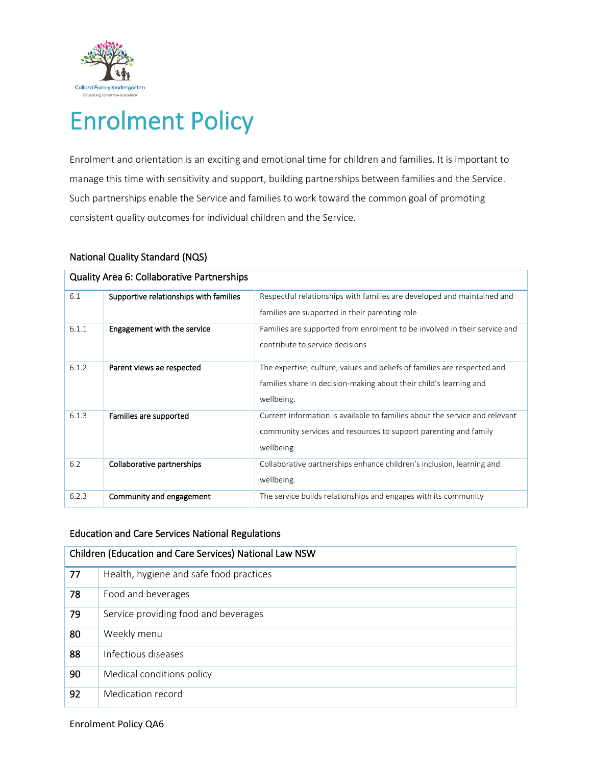

# Enrolment Policy

Enrolment and orientation is an exciting and emotional time for children and families. It is important to manage this time with sensitivity and support, building partnerships between families and the Service. Such partnerships enable the Service and families to work toward the common goal of promoting consistent quality outcomes for individual children and the Service.

## National Quality Standard (NQS)

| <b>Quality Area 6: Collaborative Partnerships</b> |                                        |                                                                             |  |  |
|---------------------------------------------------|----------------------------------------|-----------------------------------------------------------------------------|--|--|
| 6.1                                               | Supportive relationships with families | Respectful relationships with families are developed and maintained and     |  |  |
|                                                   |                                        | families are supported in their parenting role                              |  |  |
| 6.1.1                                             | Engagement with the service            | Families are supported from enrolment to be involved in their service and   |  |  |
|                                                   |                                        | contribute to service decisions                                             |  |  |
| 6.1.2                                             | Parent views ae respected              | The expertise, culture, values and beliefs of families are respected and    |  |  |
|                                                   |                                        | families share in decision-making about their child's learning and          |  |  |
|                                                   |                                        | wellbeing.                                                                  |  |  |
| 6.1.3                                             | Families are supported                 | Current information is available to families about the service and relevant |  |  |
|                                                   |                                        | community services and resources to support parenting and family            |  |  |
|                                                   |                                        | wellbeing.                                                                  |  |  |
| 6.2                                               | Collaborative partnerships             | Collaborative partnerships enhance children's inclusion, learning and       |  |  |
|                                                   |                                        | wellbeing.                                                                  |  |  |
| 6.2.3                                             | Community and engagement               | The service builds relationships and engages with its community             |  |  |

# Education and Care Services National Regulations

| Children (Education and Care Services) National Law NSW |                                         |  |
|---------------------------------------------------------|-----------------------------------------|--|
| 77                                                      | Health, hygiene and safe food practices |  |
| 78                                                      | Food and beverages                      |  |
| 79                                                      | Service providing food and beverages    |  |
| 80                                                      | Weekly menu                             |  |
| 88                                                      | Infectious diseases                     |  |
| 90                                                      | Medical conditions policy               |  |
| 92                                                      | Medication record                       |  |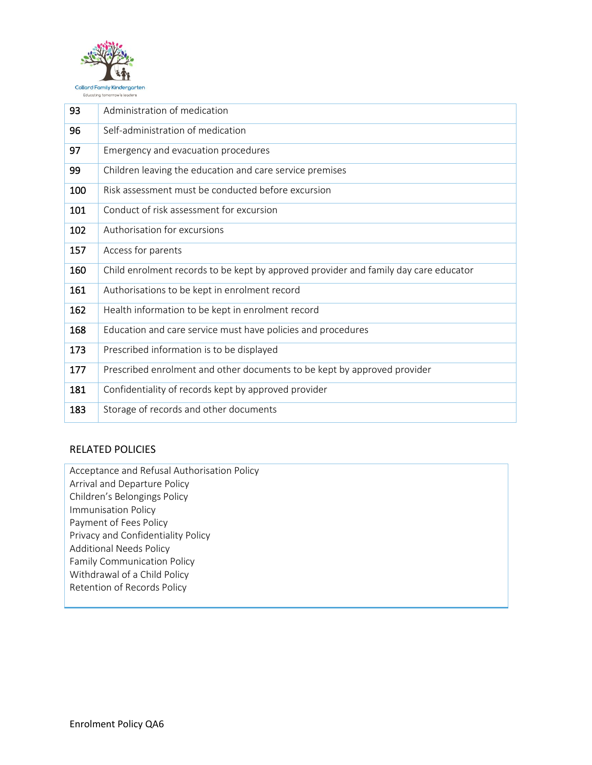

| 93  | Administration of medication                                                         |  |
|-----|--------------------------------------------------------------------------------------|--|
| 96  | Self-administration of medication                                                    |  |
| 97  | Emergency and evacuation procedures                                                  |  |
| 99  | Children leaving the education and care service premises                             |  |
| 100 | Risk assessment must be conducted before excursion                                   |  |
| 101 | Conduct of risk assessment for excursion                                             |  |
| 102 | Authorisation for excursions                                                         |  |
| 157 | Access for parents                                                                   |  |
| 160 | Child enrolment records to be kept by approved provider and family day care educator |  |
| 161 | Authorisations to be kept in enrolment record                                        |  |
| 162 | Health information to be kept in enrolment record                                    |  |
| 168 | Education and care service must have policies and procedures                         |  |
| 173 | Prescribed information is to be displayed                                            |  |
| 177 | Prescribed enrolment and other documents to be kept by approved provider             |  |
| 181 | Confidentiality of records kept by approved provider                                 |  |
| 183 | Storage of records and other documents                                               |  |

# RELATED POLICIES

Acceptance and Refusal Authorisation Policy Arrival and Departure Policy Children's Belongings Policy Immunisation Policy Payment of Fees Policy Privacy and Confidentiality Policy Additional Needs Policy Family Communication Policy Withdrawal of a Child Policy Retention of Records Policy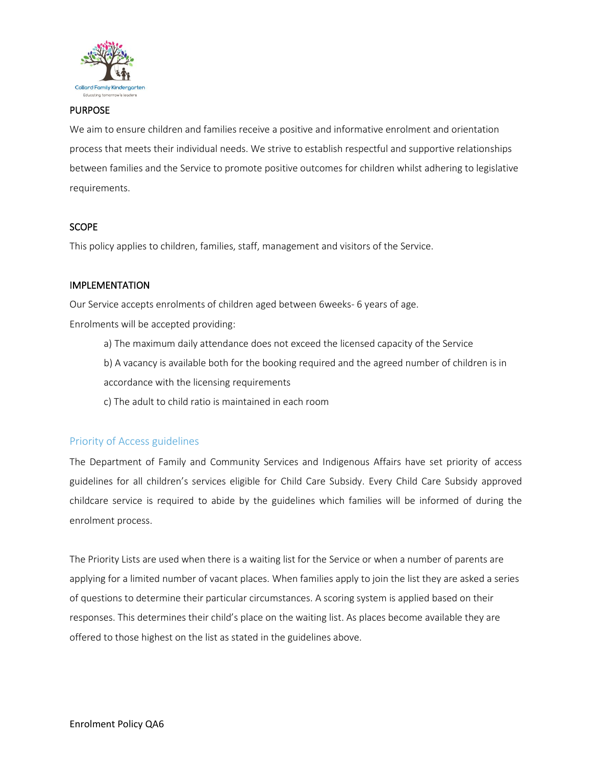

## PURPOSE

We aim to ensure children and families receive a positive and informative enrolment and orientation process that meets their individual needs. We strive to establish respectful and supportive relationships between families and the Service to promote positive outcomes for children whilst adhering to legislative requirements.

## **SCOPE**

This policy applies to children, families, staff, management and visitors of the Service.

## IMPLEMENTATION

Our Service accepts enrolments of children aged between 6weeks- 6 years of age.

Enrolments will be accepted providing:

- a) The maximum daily attendance does not exceed the licensed capacity of the Service
- b) A vacancy is available both for the booking required and the agreed number of children is in accordance with the licensing requirements
- c) The adult to child ratio is maintained in each room

## Priority of Access guidelines

The Department of Family and Community Services and Indigenous Affairs have set priority of access guidelines for all children's services eligible for Child Care Subsidy. Every Child Care Subsidy approved childcare service is required to abide by the guidelines which families will be informed of during the enrolment process.

The Priority Lists are used when there is a waiting list for the Service or when a number of parents are applying for a limited number of vacant places. When families apply to join the list they are asked a series of questions to determine their particular circumstances. A scoring system is applied based on their responses. This determines their child's place on the waiting list. As places become available they are offered to those highest on the list as stated in the guidelines above.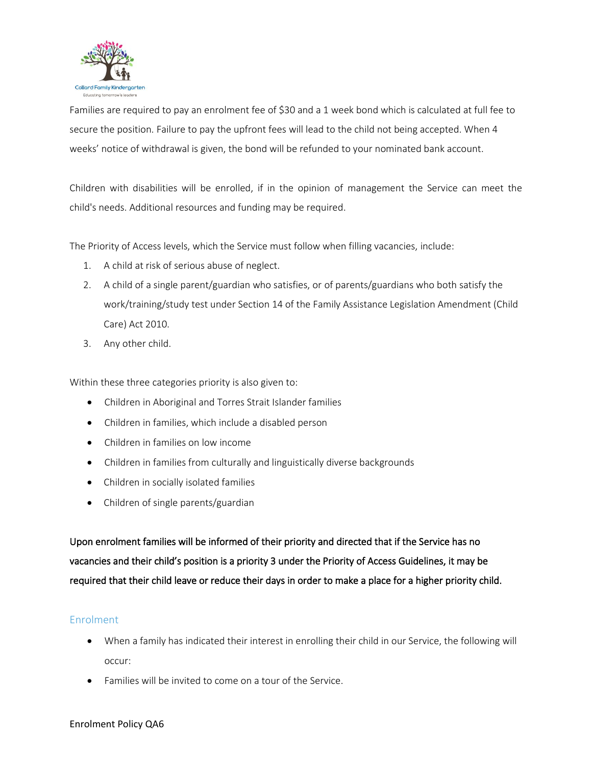

Families are required to pay an enrolment fee of \$30 and a 1 week bond which is calculated at full fee to secure the position. Failure to pay the upfront fees will lead to the child not being accepted. When 4 weeks' notice of withdrawal is given, the bond will be refunded to your nominated bank account.

Children with disabilities will be enrolled, if in the opinion of management the Service can meet the child's needs. Additional resources and funding may be required.

The Priority of Access levels, which the Service must follow when filling vacancies, include:

- 1. A child at risk of serious abuse of neglect.
- 2. A child of a single parent/guardian who satisfies, or of parents/guardians who both satisfy the work/training/study test under Section 14 of the Family Assistance Legislation Amendment (Child Care) Act 2010.
- 3. Any other child.

Within these three categories priority is also given to:

- Children in Aboriginal and Torres Strait Islander families
- Children in families, which include a disabled person
- Children in families on low income
- Children in families from culturally and linguistically diverse backgrounds
- Children in socially isolated families
- Children of single parents/guardian

Upon enrolment families will be informed of their priority and directed that if the Service has no vacancies and their child's position is a priority 3 under the Priority of Access Guidelines, it may be required that their child leave or reduce their days in order to make a place for a higher priority child.

## Enrolment

- When a family has indicated their interest in enrolling their child in our Service, the following will occur:
- Families will be invited to come on a tour of the Service.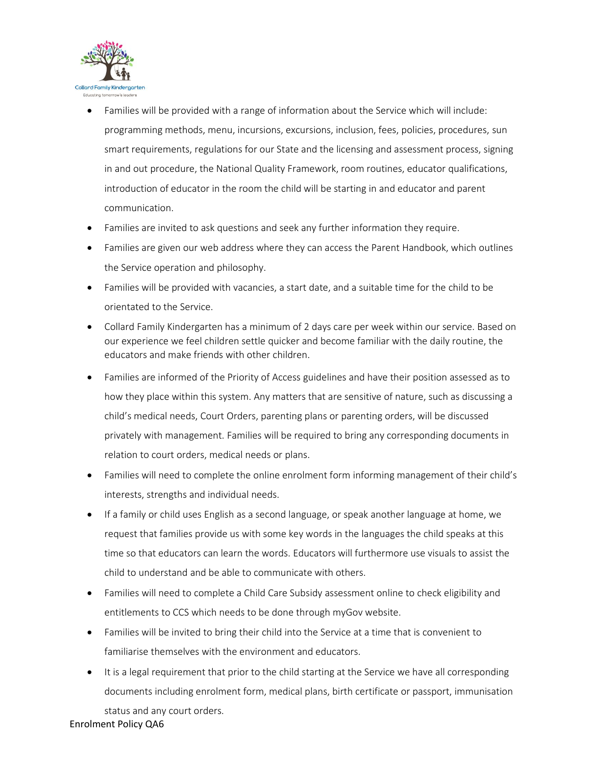

- Families will be provided with a range of information about the Service which will include: programming methods, menu, incursions, excursions, inclusion, fees, policies, procedures, sun smart requirements, regulations for our State and the licensing and assessment process, signing in and out procedure, the National Quality Framework, room routines, educator qualifications, introduction of educator in the room the child will be starting in and educator and parent communication.
- Families are invited to ask questions and seek any further information they require.
- Families are given our web address where they can access the Parent Handbook, which outlines the Service operation and philosophy.
- Families will be provided with vacancies, a start date, and a suitable time for the child to be orientated to the Service.
- Collard Family Kindergarten has a minimum of 2 days care per week within our service. Based on our experience we feel children settle quicker and become familiar with the daily routine, the educators and make friends with other children.
- Families are informed of the Priority of Access guidelines and have their position assessed as to how they place within this system. Any matters that are sensitive of nature, such as discussing a child's medical needs, Court Orders, parenting plans or parenting orders, will be discussed privately with management. Families will be required to bring any corresponding documents in relation to court orders, medical needs or plans.
- Families will need to complete the online enrolment form informing management of their child's interests, strengths and individual needs.
- If a family or child uses English as a second language, or speak another language at home, we request that families provide us with some key words in the languages the child speaks at this time so that educators can learn the words. Educators will furthermore use visuals to assist the child to understand and be able to communicate with others.
- Families will need to complete a Child Care Subsidy assessment online to check eligibility and entitlements to CCS which needs to be done through myGov website.
- Families will be invited to bring their child into the Service at a time that is convenient to familiarise themselves with the environment and educators.
- It is a legal requirement that prior to the child starting at the Service we have all corresponding documents including enrolment form, medical plans, birth certificate or passport, immunisation

status and any court orders.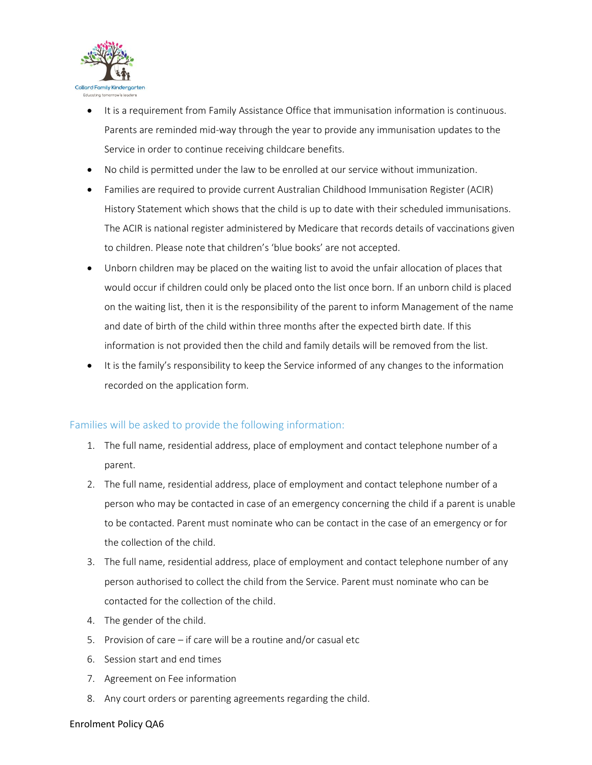

- It is a requirement from Family Assistance Office that immunisation information is continuous. Parents are reminded mid-way through the year to provide any immunisation updates to the Service in order to continue receiving childcare benefits.
- No child is permitted under the law to be enrolled at our service without immunization.
- Families are required to provide current Australian Childhood Immunisation Register (ACIR) History Statement which shows that the child is up to date with their scheduled immunisations. The ACIR is national register administered by Medicare that records details of vaccinations given to children. Please note that children's 'blue books' are not accepted.
- Unborn children may be placed on the waiting list to avoid the unfair allocation of places that would occur if children could only be placed onto the list once born. If an unborn child is placed on the waiting list, then it is the responsibility of the parent to inform Management of the name and date of birth of the child within three months after the expected birth date. If this information is not provided then the child and family details will be removed from the list.
- It is the family's responsibility to keep the Service informed of any changes to the information recorded on the application form.

# Families will be asked to provide the following information:

- 1. The full name, residential address, place of employment and contact telephone number of a parent.
- 2. The full name, residential address, place of employment and contact telephone number of a person who may be contacted in case of an emergency concerning the child if a parent is unable to be contacted. Parent must nominate who can be contact in the case of an emergency or for the collection of the child.
- 3. The full name, residential address, place of employment and contact telephone number of any person authorised to collect the child from the Service. Parent must nominate who can be contacted for the collection of the child.
- 4. The gender of the child.
- 5. Provision of care if care will be a routine and/or casual etc
- 6. Session start and end times
- 7. Agreement on Fee information
- 8. Any court orders or parenting agreements regarding the child.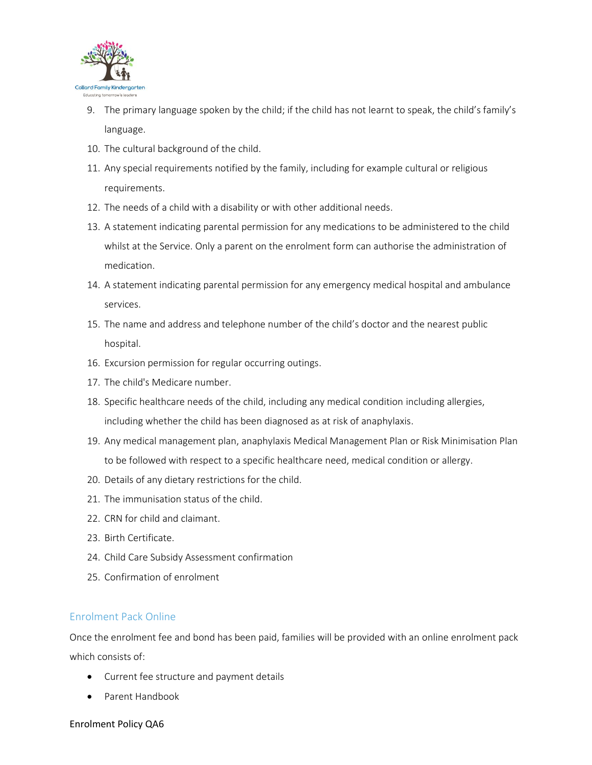

- 9. The primary language spoken by the child; if the child has not learnt to speak, the child's family's language.
- 10. The cultural background of the child.
- 11. Any special requirements notified by the family, including for example cultural or religious requirements.
- 12. The needs of a child with a disability or with other additional needs.
- 13. A statement indicating parental permission for any medications to be administered to the child whilst at the Service. Only a parent on the enrolment form can authorise the administration of medication.
- 14. A statement indicating parental permission for any emergency medical hospital and ambulance services.
- 15. The name and address and telephone number of the child's doctor and the nearest public hospital.
- 16. Excursion permission for regular occurring outings.
- 17. The child's Medicare number.
- 18. Specific healthcare needs of the child, including any medical condition including allergies, including whether the child has been diagnosed as at risk of anaphylaxis.
- 19. Any medical management plan, anaphylaxis Medical Management Plan or Risk Minimisation Plan to be followed with respect to a specific healthcare need, medical condition or allergy.
- 20. Details of any dietary restrictions for the child.
- 21. The immunisation status of the child.
- 22. CRN for child and claimant.
- 23. Birth Certificate.
- 24. Child Care Subsidy Assessment confirmation
- 25. Confirmation of enrolment

# Enrolment Pack Online

Once the enrolment fee and bond has been paid, families will be provided with an online enrolment pack which consists of:

- Current fee structure and payment details
- Parent Handbook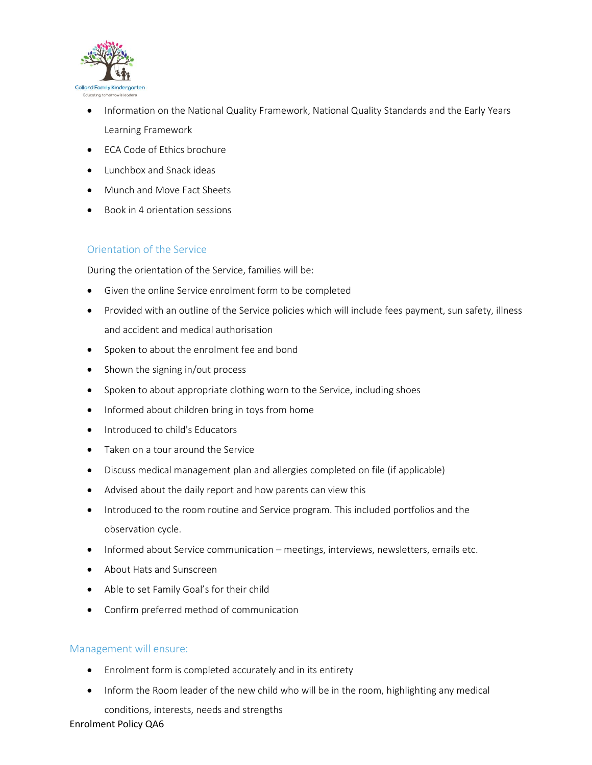

- Information on the National Quality Framework, National Quality Standards and the Early Years Learning Framework
- ECA Code of Ethics brochure
- Lunchbox and Snack ideas
- Munch and Move Fact Sheets
- Book in 4 orientation sessions

# Orientation of the Service

During the orientation of the Service, families will be:

- Given the online Service enrolment form to be completed
- Provided with an outline of the Service policies which will include fees payment, sun safety, illness and accident and medical authorisation
- Spoken to about the enrolment fee and bond
- Shown the signing in/out process
- Spoken to about appropriate clothing worn to the Service, including shoes
- Informed about children bring in toys from home
- Introduced to child's Educators
- Taken on a tour around the Service
- Discuss medical management plan and allergies completed on file (if applicable)
- Advised about the daily report and how parents can view this
- Introduced to the room routine and Service program. This included portfolios and the observation cycle.
- Informed about Service communication meetings, interviews, newsletters, emails etc.
- About Hats and Sunscreen
- Able to set Family Goal's for their child
- Confirm preferred method of communication

# Management will ensure:

- Enrolment form is completed accurately and in its entirety
- Inform the Room leader of the new child who will be in the room, highlighting any medical conditions, interests, needs and strengths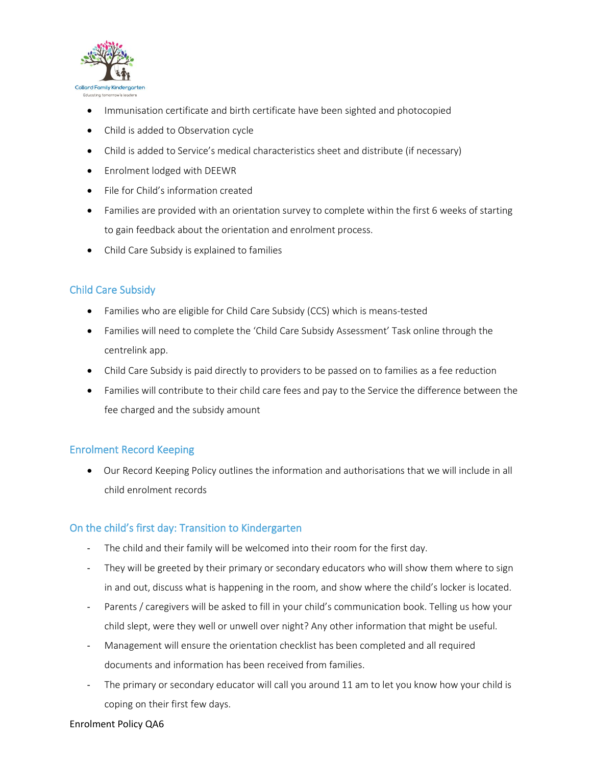

- Immunisation certificate and birth certificate have been sighted and photocopied
- Child is added to Observation cycle
- Child is added to Service's medical characteristics sheet and distribute (if necessary)
- Enrolment lodged with DEEWR
- File for Child's information created
- Families are provided with an orientation survey to complete within the first 6 weeks of starting to gain feedback about the orientation and enrolment process.
- Child Care Subsidy is explained to families

# Child Care Subsidy

- Families who are eligible for Child Care Subsidy (CCS) which is means-tested
- Families will need to complete the 'Child Care Subsidy Assessment' Task online through the centrelink app.
- Child Care Subsidy is paid directly to providers to be passed on to families as a fee reduction
- Families will contribute to their child care fees and pay to the Service the difference between the fee charged and the subsidy amount

# Enrolment Record Keeping

• Our Record Keeping Policy outlines the information and authorisations that we will include in all child enrolment records

# On the child's first day: Transition to Kindergarten

- The child and their family will be welcomed into their room for the first day.
- They will be greeted by their primary or secondary educators who will show them where to sign in and out, discuss what is happening in the room, and show where the child's locker is located.
- Parents / caregivers will be asked to fill in your child's communication book. Telling us how your child slept, were they well or unwell over night? Any other information that might be useful.
- Management will ensure the orientation checklist has been completed and all required documents and information has been received from families.
- The primary or secondary educator will call you around 11 am to let you know how your child is coping on their first few days.